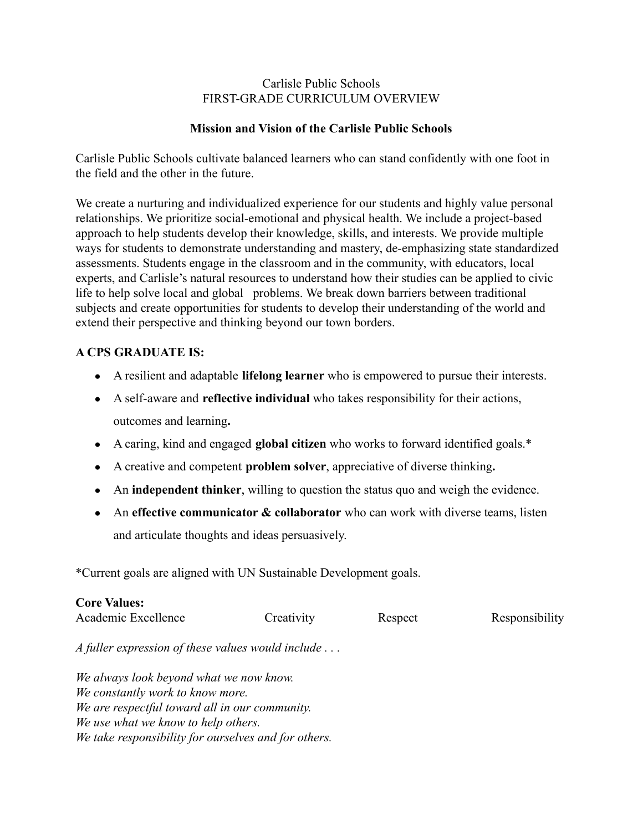## Carlisle Public Schools FIRST-GRADE CURRICULUM OVERVIEW

# **Mission and Vision of the Carlisle Public Schools**

Carlisle Public Schools cultivate balanced learners who can stand confidently with one foot in the field and the other in the future.

We create a nurturing and individualized experience for our students and highly value personal relationships. We prioritize social-emotional and physical health. We include a project-based approach to help students develop their knowledge, skills, and interests. We provide multiple ways for students to demonstrate understanding and mastery, de-emphasizing state standardized assessments. Students engage in the classroom and in the community, with educators, local experts, and Carlisle's natural resources to understand how their studies can be applied to civic life to help solve local and global problems. We break down barriers between traditional subjects and create opportunities for students to develop their understanding of the world and extend their perspective and thinking beyond our town borders.

# **A CPS GRADUATE IS:**

- A resilient and adaptable **lifelong learner** who is empowered to pursue their interests.
- A self-aware and **reflective individual** who takes responsibility for their actions, outcomes and learning**.**
- A caring, kind and engaged **global citizen** who works to forward identified goals.\*
- A creative and competent **problem solver**, appreciative of diverse thinking**.**
- **●** An **independent thinker**, willing to question the status quo and weigh the evidence.
- An **effective communicator & collaborator** who can work with diverse teams, listen and articulate thoughts and ideas persuasively.

\*Current goals are aligned with UN Sustainable Development goals.

| <b>Core Values:</b><br>Academic Excellence                                                                                                                                                                                   | Creativity | Respect | Responsibility |
|------------------------------------------------------------------------------------------------------------------------------------------------------------------------------------------------------------------------------|------------|---------|----------------|
| A fuller expression of these values would include $\dots$                                                                                                                                                                    |            |         |                |
| We always look beyond what we now know.<br>We constantly work to know more.<br>We are respectful toward all in our community.<br>We use what we know to help others.<br>We take responsibility for ourselves and for others. |            |         |                |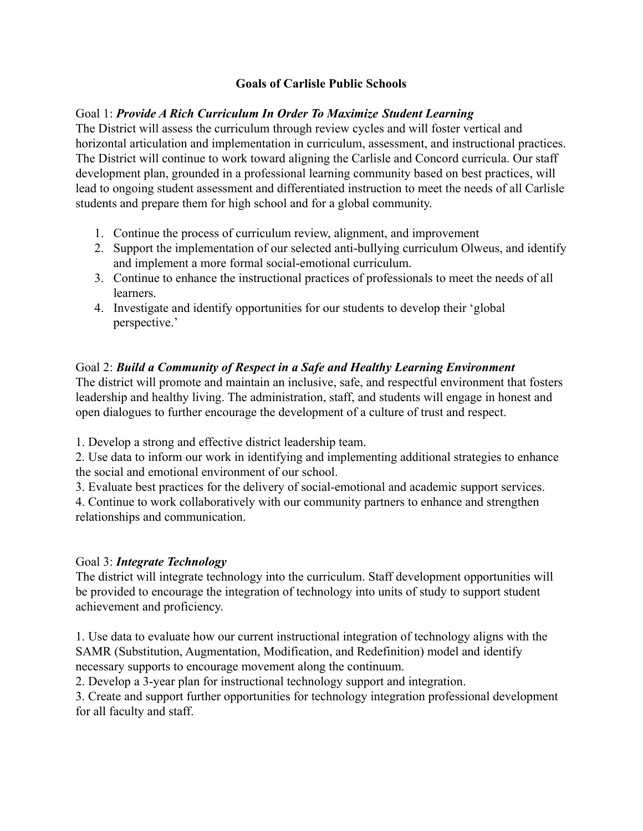# **Goals of Carlisle Public Schools**

# Goal 1: *Provide A Rich Curriculum In Order To Maximize Student Learning*

The District will assess the curriculum through review cycles and will foster vertical and horizontal articulation and implementation in curriculum, assessment, and instructional practices. The District will continue to work toward aligning the Carlisle and Concord curricula. Our staff development plan, grounded in a professional learning community based on best practices, will lead to ongoing student assessment and differentiated instruction to meet the needs of all Carlisle students and prepare them for high school and for a global community.

- 1. Continue the process of curriculum review, alignment, and improvement
- 2. Support the implementation of our selected anti-bullying curriculum Olweus, and identify and implement a more formal social-emotional curriculum.
- 3. Continue to enhance the instructional practices of professionals to meet the needs of all learners.
- 4. Investigate and identify opportunities for our students to develop their 'global perspective.'

# Goal 2: *Build a Community of Respect in a Safe and Healthy Learning Environment*

The district will promote and maintain an inclusive, safe, and respectful environment that fosters leadership and healthy living. The administration, staff, and students will engage in honest and open dialogues to further encourage the development of a culture of trust and respect.

1. Develop a strong and effective district leadership team.

2. Use data to inform our work in identifying and implementing additional strategies to enhance the social and emotional environment of our school.

3. Evaluate best practices for the delivery of social-emotional and academic support services.

4. Continue to work collaboratively with our community partners to enhance and strengthen relationships and communication.

## Goal 3: *Integrate Technology*

The district will integrate technology into the curriculum. Staff development opportunities will be provided to encourage the integration of technology into units of study to support student achievement and proficiency.

1. Use data to evaluate how our current instructional integration of technology aligns with the SAMR (Substitution, Augmentation, Modification, and Redefinition) model and identify necessary supports to encourage movement along the continuum.

2. Develop a 3-year plan for instructional technology support and integration.

3. Create and support further opportunities for technology integration professional development for all faculty and staff.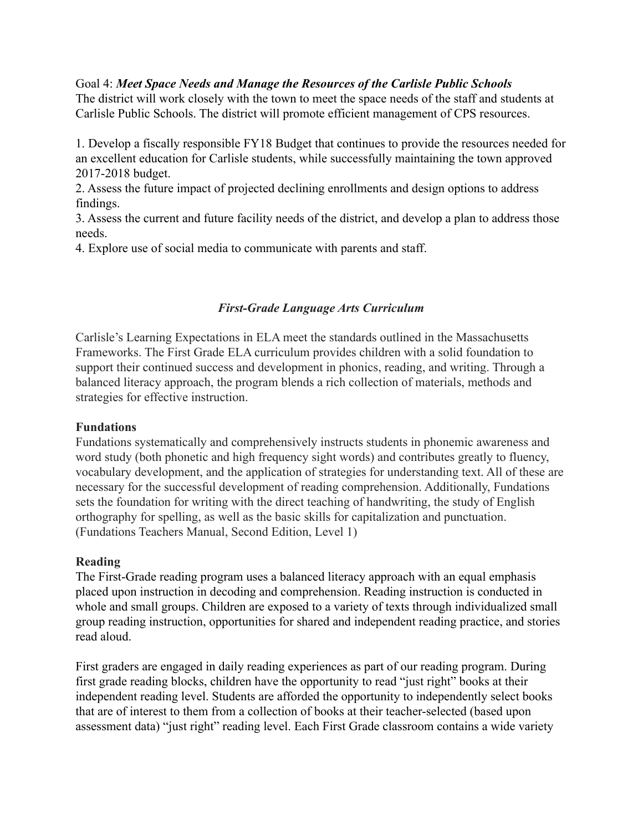## Goal 4: *Meet Space Needs and Manage the Resources of the Carlisle Public Schools*

The district will work closely with the town to meet the space needs of the staff and students at Carlisle Public Schools. The district will promote efficient management of CPS resources.

1. Develop a fiscally responsible FY18 Budget that continues to provide the resources needed for an excellent education for Carlisle students, while successfully maintaining the town approved 2017-2018 budget.

2. Assess the future impact of projected declining enrollments and design options to address findings.

3. Assess the current and future facility needs of the district, and develop a plan to address those needs.

4. Explore use of social media to communicate with parents and staff.

## *First-Grade Language Arts Curriculum*

Carlisle's Learning Expectations in ELA meet the standards outlined in the Massachusetts Frameworks. The First Grade ELA curriculum provides children with a solid foundation to support their continued success and development in phonics, reading, and writing. Through a balanced literacy approach, the program blends a rich collection of materials, methods and strategies for effective instruction.

#### **Fundations**

Fundations systematically and comprehensively instructs students in phonemic awareness and word study (both phonetic and high frequency sight words) and contributes greatly to fluency, vocabulary development, and the application of strategies for understanding text. All of these are necessary for the successful development of reading comprehension. Additionally, Fundations sets the foundation for writing with the direct teaching of handwriting, the study of English orthography for spelling, as well as the basic skills for capitalization and punctuation. (Fundations Teachers Manual, Second Edition, Level 1)

#### **Reading**

The First-Grade reading program uses a balanced literacy approach with an equal emphasis placed upon instruction in decoding and comprehension. Reading instruction is conducted in whole and small groups. Children are exposed to a variety of texts through individualized small group reading instruction, opportunities for shared and independent reading practice, and stories read aloud.

First graders are engaged in daily reading experiences as part of our reading program. During first grade reading blocks, children have the opportunity to read "just right" books at their independent reading level. Students are afforded the opportunity to independently select books that are of interest to them from a collection of books at their teacher-selected (based upon assessment data) "just right" reading level. Each First Grade classroom contains a wide variety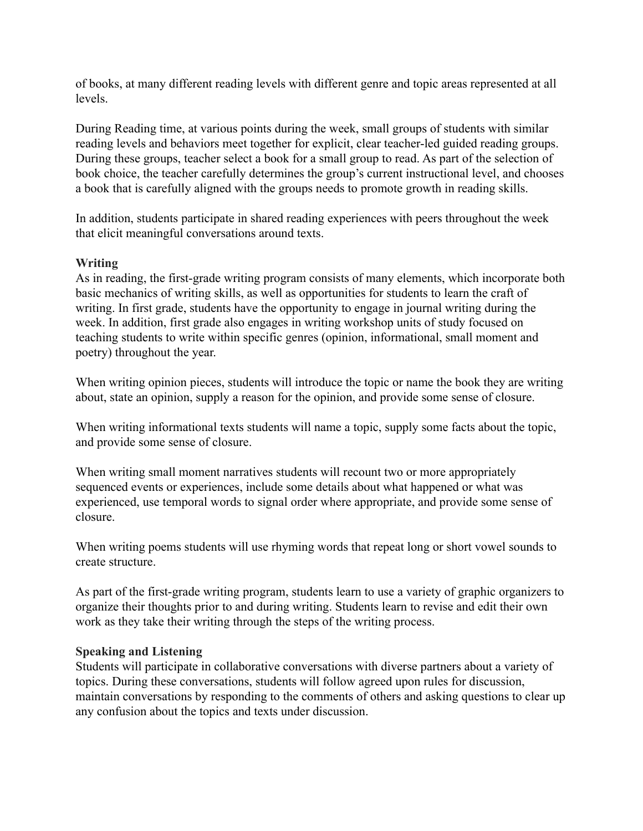of books, at many different reading levels with different genre and topic areas represented at all levels.

During Reading time, at various points during the week, small groups of students with similar reading levels and behaviors meet together for explicit, clear teacher-led guided reading groups. During these groups, teacher select a book for a small group to read. As part of the selection of book choice, the teacher carefully determines the group's current instructional level, and chooses a book that is carefully aligned with the groups needs to promote growth in reading skills.

In addition, students participate in shared reading experiences with peers throughout the week that elicit meaningful conversations around texts.

# **Writing**

As in reading, the first-grade writing program consists of many elements, which incorporate both basic mechanics of writing skills, as well as opportunities for students to learn the craft of writing. In first grade, students have the opportunity to engage in journal writing during the week. In addition, first grade also engages in writing workshop units of study focused on teaching students to write within specific genres (opinion, informational, small moment and poetry) throughout the year.

When writing opinion pieces, students will introduce the topic or name the book they are writing about, state an opinion, supply a reason for the opinion, and provide some sense of closure.

When writing informational texts students will name a topic, supply some facts about the topic, and provide some sense of closure.

When writing small moment narratives students will recount two or more appropriately sequenced events or experiences, include some details about what happened or what was experienced, use temporal words to signal order where appropriate, and provide some sense of closure.

When writing poems students will use rhyming words that repeat long or short vowel sounds to create structure.

As part of the first-grade writing program, students learn to use a variety of graphic organizers to organize their thoughts prior to and during writing. Students learn to revise and edit their own work as they take their writing through the steps of the writing process.

## **Speaking and Listening**

Students will participate in collaborative conversations with diverse partners about a variety of topics. During these conversations, students will follow agreed upon rules for discussion, maintain conversations by responding to the comments of others and asking questions to clear up any confusion about the topics and texts under discussion.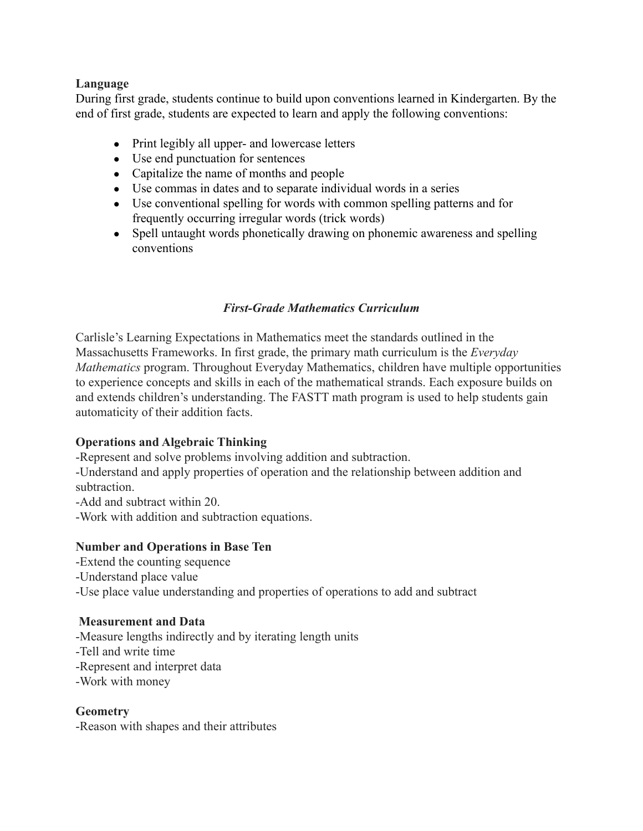## **Language**

During first grade, students continue to build upon conventions learned in Kindergarten. By the end of first grade, students are expected to learn and apply the following conventions:

- Print legibly all upper- and lowercase letters
- Use end punctuation for sentences
- Capitalize the name of months and people
- Use commas in dates and to separate individual words in a series
- Use conventional spelling for words with common spelling patterns and for frequently occurring irregular words (trick words)
- Spell untaught words phonetically drawing on phonemic awareness and spelling conventions

# *First-Grade Mathematics Curriculum*

Carlisle's Learning Expectations in Mathematics meet the standards outlined in the Massachusetts Frameworks. In first grade, the primary math curriculum is the *Everyday Mathematics* program. Throughout Everyday Mathematics, children have multiple opportunities to experience concepts and skills in each of the mathematical strands. Each exposure builds on and extends children's understanding. The FASTT math program is used to help students gain automaticity of their addition facts.

## **Operations and Algebraic Thinking**

-Represent and solve problems involving addition and subtraction.

-Understand and apply properties of operation and the relationship between addition and subtraction.

-Add and subtract within 20.

-Work with addition and subtraction equations.

## **Number and Operations in Base Ten**

-Extend the counting sequence -Understand place value

# -Use place value understanding and properties of operations to add and subtract

## **Measurement and Data**

-Measure lengths indirectly and by iterating length units -Tell and write time -Represent and interpret data -Work with money

## **Geometry**

-Reason with shapes and their attributes